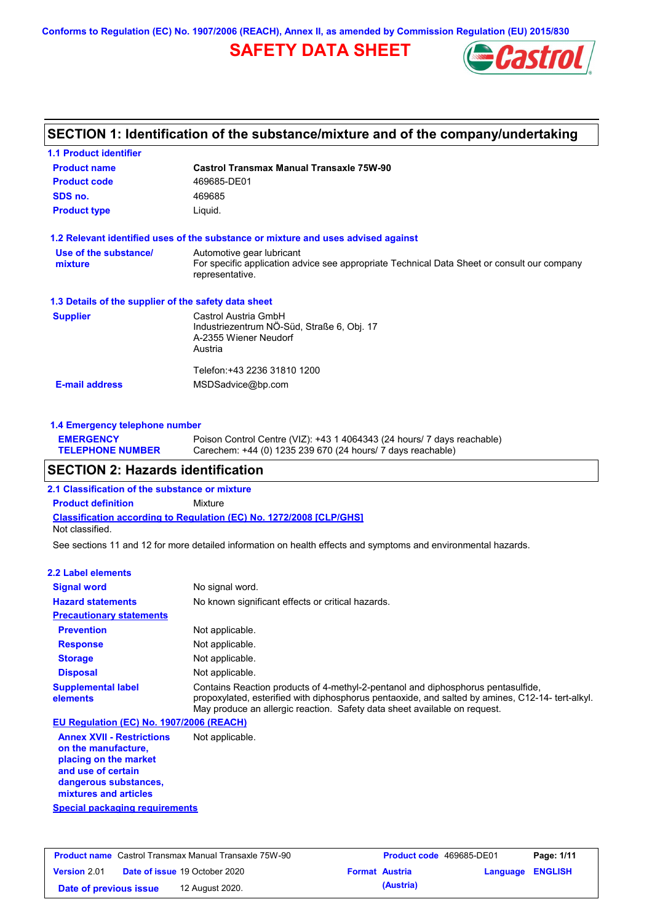**Conforms to Regulation (EC) No. 1907/2006 (REACH), Annex II, as amended by Commission Regulation (EU) 2015/830**

# **SAFETY DATA SHEET**



### **SECTION 1: Identification of the substance/mixture and of the company/undertaking**

| <b>1.1 Product identifier</b>                        |                                                                                                                                             |
|------------------------------------------------------|---------------------------------------------------------------------------------------------------------------------------------------------|
| <b>Product name</b>                                  | <b>Castrol Transmax Manual Transaxle 75W-90</b>                                                                                             |
| <b>Product code</b>                                  | 469685-DE01                                                                                                                                 |
| SDS no.                                              | 469685                                                                                                                                      |
| <b>Product type</b>                                  | Liquid.                                                                                                                                     |
|                                                      | 1.2 Relevant identified uses of the substance or mixture and uses advised against                                                           |
| Use of the substance/<br>mixture                     | Automotive gear lubricant<br>For specific application advice see appropriate Technical Data Sheet or consult our company<br>representative. |
| 1.3 Details of the supplier of the safety data sheet |                                                                                                                                             |
| <b>Supplier</b>                                      | Castrol Austria GmbH<br>Industriezentrum NÖ-Süd, Straße 6, Obj. 17<br>A-2355 Wiener Neudorf<br>Austria                                      |
| <b>E-mail address</b>                                | Telefon: +43 2236 31810 1200<br>MSDSadvice@bp.com                                                                                           |
|                                                      |                                                                                                                                             |

### **1.4 Emergency telephone number**

| <b>EMERGENCY</b>        | Poison Control Centre (VIZ): +43 1 4064343 (24 hours/ 7 days reachable) |
|-------------------------|-------------------------------------------------------------------------|
| <b>TELEPHONE NUMBER</b> | Carechem: +44 (0) 1235 239 670 (24 hours/ 7 days reachable)             |

### **SECTION 2: Hazards identification**

**2.1 Classification of the substance or mixture**

**Classification according to Regulation (EC) No. 1272/2008 [CLP/GHS] Product definition** Mixture Not classified.

See sections 11 and 12 for more detailed information on health effects and symptoms and environmental hazards.

### **2.2 Label elements**

| <b>Signal word</b>                       | No signal word.                                                                                                                                                                                                                                                  |
|------------------------------------------|------------------------------------------------------------------------------------------------------------------------------------------------------------------------------------------------------------------------------------------------------------------|
| <b>Hazard statements</b>                 | No known significant effects or critical hazards.                                                                                                                                                                                                                |
| <b>Precautionary statements</b>          |                                                                                                                                                                                                                                                                  |
| <b>Prevention</b>                        | Not applicable.                                                                                                                                                                                                                                                  |
| <b>Response</b>                          | Not applicable.                                                                                                                                                                                                                                                  |
| <b>Storage</b>                           | Not applicable.                                                                                                                                                                                                                                                  |
| <b>Disposal</b>                          | Not applicable.                                                                                                                                                                                                                                                  |
| <b>Supplemental label</b><br>elements    | Contains Reaction products of 4-methyl-2-pentanol and diphosphorus pentasulfide,<br>propoxylated, esterified with diphosphorus pentaoxide, and salted by amines, C12-14-tert-alkyl.<br>May produce an allergic reaction. Safety data sheet available on request. |
| EU Regulation (EC) No. 1907/2006 (REACH) |                                                                                                                                                                                                                                                                  |

**Annex XVII - Restrictions on the manufacture, placing on the market and use of certain dangerous substances, mixtures and articles** Not applicable.

**Special packaging requirements**

| <b>Product name</b> Castrol Transmax Manual Transaxle 75W-90 |  | <b>Product code</b> 469685-DE01      |  | Page: 1/11            |                  |  |
|--------------------------------------------------------------|--|--------------------------------------|--|-----------------------|------------------|--|
| <b>Version 2.01</b>                                          |  | <b>Date of issue 19 October 2020</b> |  | <b>Format Austria</b> | Language ENGLISH |  |
| Date of previous issue                                       |  | 12 August 2020.                      |  | (Austria)             |                  |  |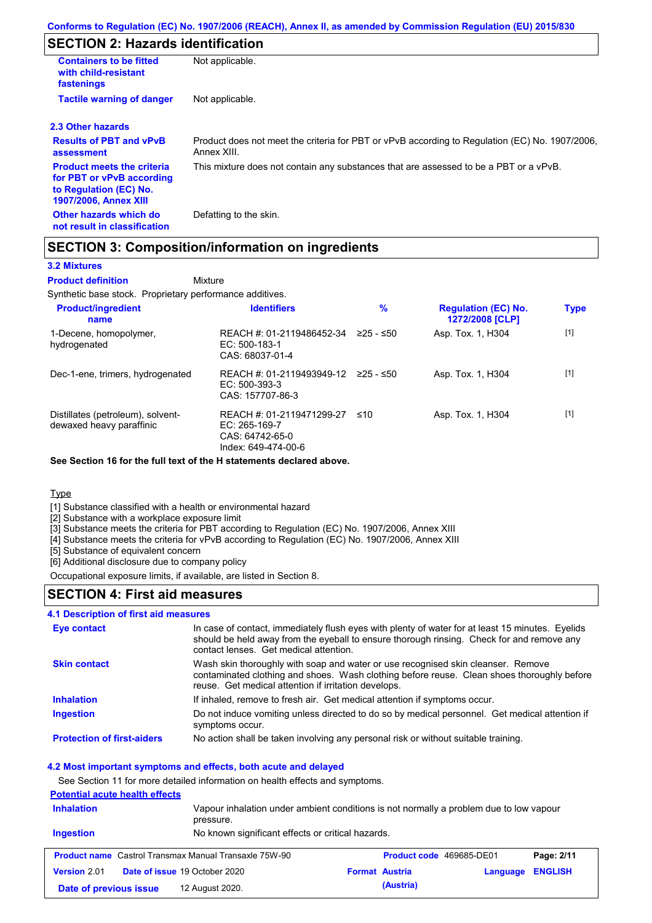# **SECTION 2: Hazards identification**

| <b>Containers to be fitted</b><br>with child-resistant<br>fastenings                                                     | Not applicable.                                                                                               |
|--------------------------------------------------------------------------------------------------------------------------|---------------------------------------------------------------------------------------------------------------|
| <b>Tactile warning of danger</b>                                                                                         | Not applicable.                                                                                               |
| 2.3 Other hazards                                                                                                        |                                                                                                               |
| <b>Results of PBT and vPvB</b><br>assessment                                                                             | Product does not meet the criteria for PBT or vPvB according to Regulation (EC) No. 1907/2006,<br>Annex XIII. |
| <b>Product meets the criteria</b><br>for PBT or vPvB according<br>to Regulation (EC) No.<br><b>1907/2006, Annex XIII</b> | This mixture does not contain any substances that are assessed to be a PBT or a vPvB.                         |
| Other hazards which do<br>not result in classification                                                                   | Defatting to the skin.                                                                                        |

### **SECTION 3: Composition/information on ingredients**

Mixture

#### **3.2 Mixtures**

**Product definition**

Synthetic base stock. Proprietary performance additives.

| <b>Product/ingredient</b><br>name                             | <b>Identifiers</b>                                                                   | $\%$      | <b>Regulation (EC) No.</b><br>1272/2008 [CLP] | <b>Type</b> |
|---------------------------------------------------------------|--------------------------------------------------------------------------------------|-----------|-----------------------------------------------|-------------|
| 1-Decene, homopolymer,<br>hydrogenated                        | REACH #: 01-2119486452-34<br>$EC: 500-183-1$<br>CAS: 68037-01-4                      | ≥25 - ≤50 | Asp. Tox. 1, H304                             | $[1]$       |
| Dec-1-ene, trimers, hydrogenated                              | REACH #: 01-2119493949-12<br>$EC: 500-393-3$<br>CAS: 157707-86-3                     | 225 - ≤50 | Asp. Tox. 1, H304                             | $[1]$       |
| Distillates (petroleum), solvent-<br>dewaxed heavy paraffinic | REACH #: 01-2119471299-27<br>EC: 265-169-7<br>CAS: 64742-65-0<br>Index: 649-474-00-6 | ≤10       | Asp. Tox. 1, H304                             | $[1]$       |

**See Section 16 for the full text of the H statements declared above.**

**Type** 

[1] Substance classified with a health or environmental hazard

[2] Substance with a workplace exposure limit

[3] Substance meets the criteria for PBT according to Regulation (EC) No. 1907/2006, Annex XIII

[4] Substance meets the criteria for vPvB according to Regulation (EC) No. 1907/2006, Annex XIII

[5] Substance of equivalent concern

[6] Additional disclosure due to company policy

Occupational exposure limits, if available, are listed in Section 8.

### **SECTION 4: First aid measures**

### **4.1 Description of first aid measures**

| <b>Eye contact</b>                | In case of contact, immediately flush eyes with plenty of water for at least 15 minutes. Eyelids<br>should be held away from the eyeball to ensure thorough rinsing. Check for and remove any<br>contact lenses. Get medical attention. |
|-----------------------------------|-----------------------------------------------------------------------------------------------------------------------------------------------------------------------------------------------------------------------------------------|
| <b>Skin contact</b>               | Wash skin thoroughly with soap and water or use recognised skin cleanser. Remove<br>contaminated clothing and shoes. Wash clothing before reuse. Clean shoes thoroughly before<br>reuse. Get medical attention if irritation develops.  |
| <b>Inhalation</b>                 | If inhaled, remove to fresh air. Get medical attention if symptoms occur.                                                                                                                                                               |
| <b>Ingestion</b>                  | Do not induce vomiting unless directed to do so by medical personnel. Get medical attention if<br>symptoms occur.                                                                                                                       |
| <b>Protection of first-aiders</b> | No action shall be taken involving any personal risk or without suitable training.                                                                                                                                                      |

#### **4.2 Most important symptoms and effects, both acute and delayed**

See Section 11 for more detailed information on health effects and symptoms.

#### **Potential acute health effects**

| Vapour inhalation under ambient conditions is not normally a problem due to low vapour<br><b>Inhalation</b><br>pressure. |                                                              |                       |                          |          |                |
|--------------------------------------------------------------------------------------------------------------------------|--------------------------------------------------------------|-----------------------|--------------------------|----------|----------------|
| Ingestion                                                                                                                | No known significant effects or critical hazards.            |                       |                          |          |                |
|                                                                                                                          | <b>Product name</b> Castrol Transmax Manual Transaxle 75W-90 |                       | Product code 469685-DE01 |          | Page: 2/11     |
| Version 2.01                                                                                                             | <b>Date of issue 19 October 2020</b>                         | <b>Format Austria</b> |                          | Language | <b>ENGLISH</b> |
| Date of previous issue                                                                                                   | 12 August 2020.                                              |                       | (Austria)                |          |                |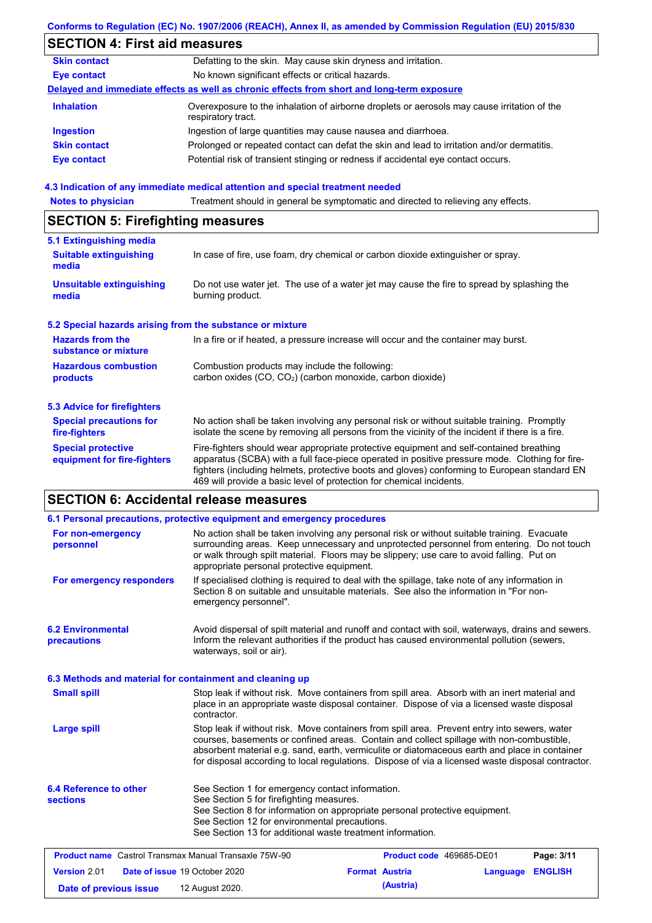|                                                          | Conforms to Regulation (EC) No. 1907/2006 (REACH), Annex II, as amended by Commission Regulation (EU) 2015/830                                                                                                                                                                                                                                                    |
|----------------------------------------------------------|-------------------------------------------------------------------------------------------------------------------------------------------------------------------------------------------------------------------------------------------------------------------------------------------------------------------------------------------------------------------|
| <b>SECTION 4: First aid measures</b>                     |                                                                                                                                                                                                                                                                                                                                                                   |
| <b>Skin contact</b>                                      | Defatting to the skin. May cause skin dryness and irritation.                                                                                                                                                                                                                                                                                                     |
| <b>Eye contact</b>                                       | No known significant effects or critical hazards.                                                                                                                                                                                                                                                                                                                 |
|                                                          | Delayed and immediate effects as well as chronic effects from short and long-term exposure                                                                                                                                                                                                                                                                        |
| <b>Inhalation</b>                                        | Overexposure to the inhalation of airborne droplets or aerosols may cause irritation of the<br>respiratory tract.                                                                                                                                                                                                                                                 |
| <b>Ingestion</b>                                         | Ingestion of large quantities may cause nausea and diarrhoea.                                                                                                                                                                                                                                                                                                     |
| <b>Skin contact</b>                                      | Prolonged or repeated contact can defat the skin and lead to irritation and/or dermatitis.                                                                                                                                                                                                                                                                        |
| <b>Eye contact</b>                                       | Potential risk of transient stinging or redness if accidental eye contact occurs.                                                                                                                                                                                                                                                                                 |
|                                                          | 4.3 Indication of any immediate medical attention and special treatment needed                                                                                                                                                                                                                                                                                    |
| <b>Notes to physician</b>                                | Treatment should in general be symptomatic and directed to relieving any effects.                                                                                                                                                                                                                                                                                 |
| <b>SECTION 5: Firefighting measures</b>                  |                                                                                                                                                                                                                                                                                                                                                                   |
| 5.1 Extinguishing media                                  |                                                                                                                                                                                                                                                                                                                                                                   |
| <b>Suitable extinguishing</b><br>media                   | In case of fire, use foam, dry chemical or carbon dioxide extinguisher or spray.                                                                                                                                                                                                                                                                                  |
| <b>Unsuitable extinguishing</b><br>media                 | Do not use water jet. The use of a water jet may cause the fire to spread by splashing the<br>burning product.                                                                                                                                                                                                                                                    |
|                                                          | 5.2 Special hazards arising from the substance or mixture                                                                                                                                                                                                                                                                                                         |
| <b>Hazards from the</b><br>substance or mixture          | In a fire or if heated, a pressure increase will occur and the container may burst.                                                                                                                                                                                                                                                                               |
| <b>Hazardous combustion</b><br>products                  | Combustion products may include the following:<br>carbon oxides (CO, CO <sub>2</sub> ) (carbon monoxide, carbon dioxide)                                                                                                                                                                                                                                          |
| <b>5.3 Advice for firefighters</b>                       |                                                                                                                                                                                                                                                                                                                                                                   |
| <b>Special precautions for</b><br>fire-fighters          | No action shall be taken involving any personal risk or without suitable training. Promptly<br>isolate the scene by removing all persons from the vicinity of the incident if there is a fire.                                                                                                                                                                    |
| <b>Special protective</b><br>equipment for fire-fighters | Fire-fighters should wear appropriate protective equipment and self-contained breathing<br>apparatus (SCBA) with a full face-piece operated in positive pressure mode. Clothing for fire-<br>fighters (including helmets, protective boots and gloves) conforming to European standard EN<br>469 will provide a basic level of protection for chemical incidents. |
| <b>SECTION 6: Accidental release measures</b>            |                                                                                                                                                                                                                                                                                                                                                                   |
|                                                          |                                                                                                                                                                                                                                                                                                                                                                   |

|                                                                                                                                                                                                                                                                                                                                                                       | 6.1 Personal precautions, protective equipment and emergency procedures                                                                                                                                                                                                                                                                                                                        |                                                                                                                                                                                         |                          |          |                |  |  |
|-----------------------------------------------------------------------------------------------------------------------------------------------------------------------------------------------------------------------------------------------------------------------------------------------------------------------------------------------------------------------|------------------------------------------------------------------------------------------------------------------------------------------------------------------------------------------------------------------------------------------------------------------------------------------------------------------------------------------------------------------------------------------------|-----------------------------------------------------------------------------------------------------------------------------------------------------------------------------------------|--------------------------|----------|----------------|--|--|
| No action shall be taken involving any personal risk or without suitable training. Evacuate<br>For non-emergency<br>surrounding areas. Keep unnecessary and unprotected personnel from entering. Do not touch<br>personnel<br>or walk through spilt material. Floors may be slippery; use care to avoid falling. Put on<br>appropriate personal protective equipment. |                                                                                                                                                                                                                                                                                                                                                                                                |                                                                                                                                                                                         |                          |          |                |  |  |
| For emergency responders                                                                                                                                                                                                                                                                                                                                              | emergency personnel".                                                                                                                                                                                                                                                                                                                                                                          | If specialised clothing is required to deal with the spillage, take note of any information in<br>Section 8 on suitable and unsuitable materials. See also the information in "For non- |                          |          |                |  |  |
| <b>6.2 Environmental</b><br>precautions                                                                                                                                                                                                                                                                                                                               | Avoid dispersal of spilt material and runoff and contact with soil, waterways, drains and sewers.<br>Inform the relevant authorities if the product has caused environmental pollution (sewers,<br>waterways, soil or air).                                                                                                                                                                    |                                                                                                                                                                                         |                          |          |                |  |  |
| 6.3 Methods and material for containment and cleaning up                                                                                                                                                                                                                                                                                                              |                                                                                                                                                                                                                                                                                                                                                                                                |                                                                                                                                                                                         |                          |          |                |  |  |
| <b>Small spill</b>                                                                                                                                                                                                                                                                                                                                                    | Stop leak if without risk. Move containers from spill area. Absorb with an inert material and<br>place in an appropriate waste disposal container. Dispose of via a licensed waste disposal<br>contractor.                                                                                                                                                                                     |                                                                                                                                                                                         |                          |          |                |  |  |
| <b>Large spill</b>                                                                                                                                                                                                                                                                                                                                                    | Stop leak if without risk. Move containers from spill area. Prevent entry into sewers, water<br>courses, basements or confined areas. Contain and collect spillage with non-combustible,<br>absorbent material e.g. sand, earth, vermiculite or diatomaceous earth and place in container<br>for disposal according to local regulations. Dispose of via a licensed waste disposal contractor. |                                                                                                                                                                                         |                          |          |                |  |  |
| 6.4 Reference to other<br><b>sections</b>                                                                                                                                                                                                                                                                                                                             | See Section 1 for emergency contact information.<br>See Section 5 for firefighting measures.<br>See Section 8 for information on appropriate personal protective equipment.<br>See Section 12 for environmental precautions.<br>See Section 13 for additional waste treatment information.                                                                                                     |                                                                                                                                                                                         |                          |          |                |  |  |
| <b>Product name</b> Castrol Transmax Manual Transaxle 75W-90                                                                                                                                                                                                                                                                                                          |                                                                                                                                                                                                                                                                                                                                                                                                |                                                                                                                                                                                         | Product code 469685-DE01 |          | Page: 3/11     |  |  |
| Version 2.01                                                                                                                                                                                                                                                                                                                                                          | Date of issue 19 October 2020                                                                                                                                                                                                                                                                                                                                                                  |                                                                                                                                                                                         | <b>Format Austria</b>    | Language | <b>ENGLISH</b> |  |  |
| Date of previous issue                                                                                                                                                                                                                                                                                                                                                | 12 August 2020.                                                                                                                                                                                                                                                                                                                                                                                |                                                                                                                                                                                         | (Austria)                |          |                |  |  |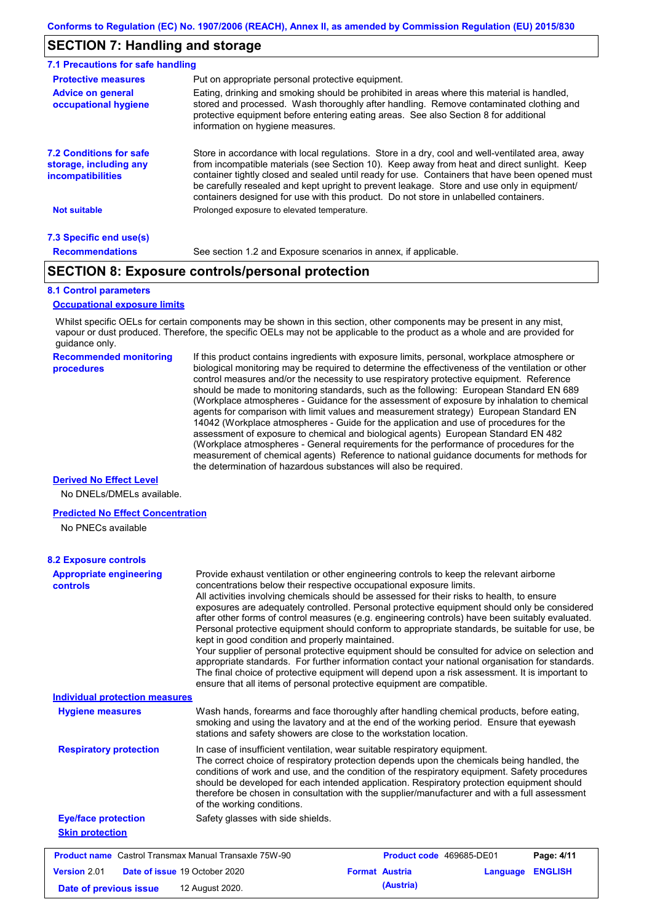### **SECTION 7: Handling and storage**

| 7.1 Precautions for safe handling                                                    |                                                                                                                                                                                                                                                                                                                                                                                                                                                                                          |
|--------------------------------------------------------------------------------------|------------------------------------------------------------------------------------------------------------------------------------------------------------------------------------------------------------------------------------------------------------------------------------------------------------------------------------------------------------------------------------------------------------------------------------------------------------------------------------------|
| <b>Protective measures</b>                                                           | Put on appropriate personal protective equipment.                                                                                                                                                                                                                                                                                                                                                                                                                                        |
| <b>Advice on general</b><br>occupational hygiene                                     | Eating, drinking and smoking should be prohibited in areas where this material is handled.<br>stored and processed. Wash thoroughly after handling. Remove contaminated clothing and<br>protective equipment before entering eating areas. See also Section 8 for additional<br>information on hygiene measures.                                                                                                                                                                         |
| <b>7.2 Conditions for safe</b><br>storage, including any<br><i>incompatibilities</i> | Store in accordance with local requiations. Store in a dry, cool and well-ventilated area, away<br>from incompatible materials (see Section 10). Keep away from heat and direct sunlight. Keep<br>container tightly closed and sealed until ready for use. Containers that have been opened must<br>be carefully resealed and kept upright to prevent leakage. Store and use only in equipment/<br>containers designed for use with this product. Do not store in unlabelled containers. |
| <b>Not suitable</b>                                                                  | Prolonged exposure to elevated temperature.                                                                                                                                                                                                                                                                                                                                                                                                                                              |
| 7.3 Specific end use(s)                                                              |                                                                                                                                                                                                                                                                                                                                                                                                                                                                                          |
| <b>Recommendations</b>                                                               | See section 1.2 and Exposure scenarios in annex, if applicable.                                                                                                                                                                                                                                                                                                                                                                                                                          |

### **SECTION 8: Exposure controls/personal protection**

#### **8.1 Control parameters**

#### **Occupational exposure limits**

Whilst specific OELs for certain components may be shown in this section, other components may be present in any mist, vapour or dust produced. Therefore, the specific OELs may not be applicable to the product as a whole and are provided for guidance only.

**Recommended monitoring procedures**

If this product contains ingredients with exposure limits, personal, workplace atmosphere or biological monitoring may be required to determine the effectiveness of the ventilation or other control measures and/or the necessity to use respiratory protective equipment. Reference should be made to monitoring standards, such as the following: European Standard EN 689 (Workplace atmospheres - Guidance for the assessment of exposure by inhalation to chemical agents for comparison with limit values and measurement strategy) European Standard EN 14042 (Workplace atmospheres - Guide for the application and use of procedures for the assessment of exposure to chemical and biological agents) European Standard EN 482 (Workplace atmospheres - General requirements for the performance of procedures for the measurement of chemical agents) Reference to national guidance documents for methods for the determination of hazardous substances will also be required.

#### **Derived No Effect Level**

No DNELs/DMELs available.

#### **Predicted No Effect Concentration**

No PNECs available

| <b>8.2 Exposure controls</b>                                                                                                                                                                                                                                                           |                                                                                                                                                                                                                                                                                                                                                                                                                                                                                                                                                                                                                                                                                                                                                                                                                                                                                                                                                                                                         |                          |          |                |
|----------------------------------------------------------------------------------------------------------------------------------------------------------------------------------------------------------------------------------------------------------------------------------------|---------------------------------------------------------------------------------------------------------------------------------------------------------------------------------------------------------------------------------------------------------------------------------------------------------------------------------------------------------------------------------------------------------------------------------------------------------------------------------------------------------------------------------------------------------------------------------------------------------------------------------------------------------------------------------------------------------------------------------------------------------------------------------------------------------------------------------------------------------------------------------------------------------------------------------------------------------------------------------------------------------|--------------------------|----------|----------------|
| <b>Appropriate engineering</b><br>controls                                                                                                                                                                                                                                             | Provide exhaust ventilation or other engineering controls to keep the relevant airborne<br>concentrations below their respective occupational exposure limits.<br>All activities involving chemicals should be assessed for their risks to health, to ensure<br>exposures are adequately controlled. Personal protective equipment should only be considered<br>after other forms of control measures (e.g. engineering controls) have been suitably evaluated.<br>Personal protective equipment should conform to appropriate standards, be suitable for use, be<br>kept in good condition and properly maintained.<br>Your supplier of personal protective equipment should be consulted for advice on selection and<br>appropriate standards. For further information contact your national organisation for standards.<br>The final choice of protective equipment will depend upon a risk assessment. It is important to<br>ensure that all items of personal protective equipment are compatible. |                          |          |                |
| <b>Individual protection measures</b>                                                                                                                                                                                                                                                  |                                                                                                                                                                                                                                                                                                                                                                                                                                                                                                                                                                                                                                                                                                                                                                                                                                                                                                                                                                                                         |                          |          |                |
| Wash hands, forearms and face thoroughly after handling chemical products, before eating,<br><b>Hygiene measures</b><br>smoking and using the lavatory and at the end of the working period. Ensure that eyewash<br>stations and safety showers are close to the workstation location. |                                                                                                                                                                                                                                                                                                                                                                                                                                                                                                                                                                                                                                                                                                                                                                                                                                                                                                                                                                                                         |                          |          |                |
| <b>Respiratory protection</b>                                                                                                                                                                                                                                                          | In case of insufficient ventilation, wear suitable respiratory equipment.<br>The correct choice of respiratory protection depends upon the chemicals being handled, the<br>conditions of work and use, and the condition of the respiratory equipment. Safety procedures<br>should be developed for each intended application. Respiratory protection equipment should<br>therefore be chosen in consultation with the supplier/manufacturer and with a full assessment<br>of the working conditions.                                                                                                                                                                                                                                                                                                                                                                                                                                                                                                   |                          |          |                |
| <b>Eye/face protection</b>                                                                                                                                                                                                                                                             | Safety glasses with side shields.                                                                                                                                                                                                                                                                                                                                                                                                                                                                                                                                                                                                                                                                                                                                                                                                                                                                                                                                                                       |                          |          |                |
| <b>Skin protection</b>                                                                                                                                                                                                                                                                 |                                                                                                                                                                                                                                                                                                                                                                                                                                                                                                                                                                                                                                                                                                                                                                                                                                                                                                                                                                                                         |                          |          |                |
| <b>Product name</b> Castrol Transmax Manual Transaxle 75W-90                                                                                                                                                                                                                           |                                                                                                                                                                                                                                                                                                                                                                                                                                                                                                                                                                                                                                                                                                                                                                                                                                                                                                                                                                                                         | Product code 469685-DE01 |          | Page: 4/11     |
| Version 2.01                                                                                                                                                                                                                                                                           | Date of issue 19 October 2020                                                                                                                                                                                                                                                                                                                                                                                                                                                                                                                                                                                                                                                                                                                                                                                                                                                                                                                                                                           | <b>Format Austria</b>    | Language | <b>ENGLISH</b> |
| Date of previous issue                                                                                                                                                                                                                                                                 | 12 August 2020.                                                                                                                                                                                                                                                                                                                                                                                                                                                                                                                                                                                                                                                                                                                                                                                                                                                                                                                                                                                         | (Austria)                |          |                |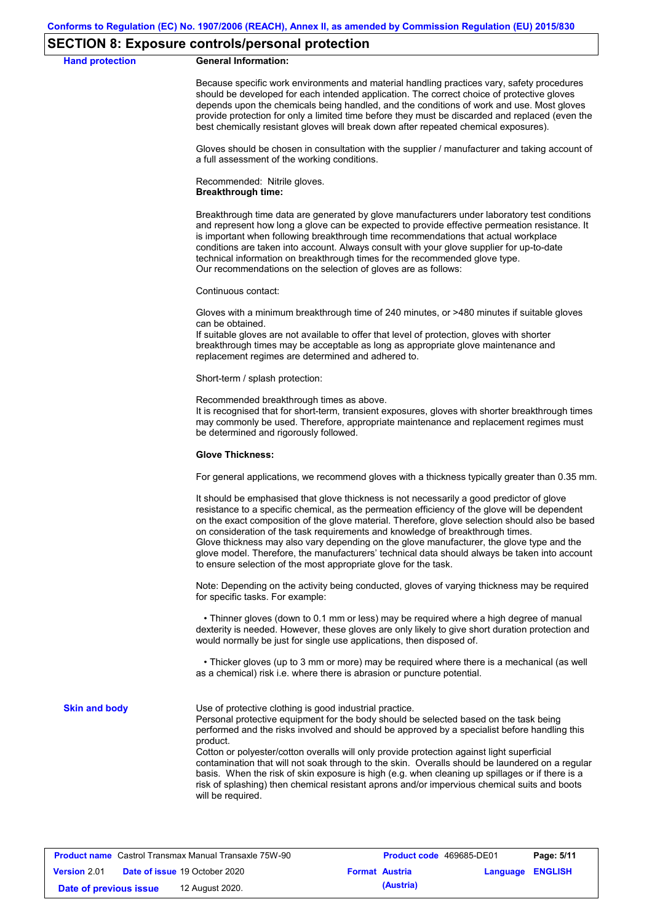### **SECTION 8: Exposure controls/personal protection**

**Hand protection** 

|  | <b>General Information:</b> |
|--|-----------------------------|
|--|-----------------------------|

Because specific work environments and material handling practices vary, safety procedures should be developed for each intended application. The correct choice of protective gloves depends upon the chemicals being handled, and the conditions of work and use. Most gloves provide protection for only a limited time before they must be discarded and replaced (even the best chemically resistant gloves will break down after repeated chemical exposures).

Gloves should be chosen in consultation with the supplier / manufacturer and taking account of a full assessment of the working conditions.

Recommended: Nitrile gloves. **Breakthrough time:**

Breakthrough time data are generated by glove manufacturers under laboratory test conditions and represent how long a glove can be expected to provide effective permeation resistance. It is important when following breakthrough time recommendations that actual workplace conditions are taken into account. Always consult with your glove supplier for up-to-date technical information on breakthrough times for the recommended glove type. Our recommendations on the selection of gloves are as follows:

Continuous contact:

Gloves with a minimum breakthrough time of 240 minutes, or >480 minutes if suitable gloves can be obtained.

If suitable gloves are not available to offer that level of protection, gloves with shorter breakthrough times may be acceptable as long as appropriate glove maintenance and replacement regimes are determined and adhered to.

Short-term / splash protection:

Recommended breakthrough times as above.

It is recognised that for short-term, transient exposures, gloves with shorter breakthrough times may commonly be used. Therefore, appropriate maintenance and replacement regimes must be determined and rigorously followed.

#### **Glove Thickness:**

For general applications, we recommend gloves with a thickness typically greater than 0.35 mm.

It should be emphasised that glove thickness is not necessarily a good predictor of glove resistance to a specific chemical, as the permeation efficiency of the glove will be dependent on the exact composition of the glove material. Therefore, glove selection should also be based on consideration of the task requirements and knowledge of breakthrough times. Glove thickness may also vary depending on the glove manufacturer, the glove type and the glove model. Therefore, the manufacturers' technical data should always be taken into account to ensure selection of the most appropriate glove for the task.

Note: Depending on the activity being conducted, gloves of varying thickness may be required for specific tasks. For example:

 • Thinner gloves (down to 0.1 mm or less) may be required where a high degree of manual dexterity is needed. However, these gloves are only likely to give short duration protection and would normally be just for single use applications, then disposed of.

 • Thicker gloves (up to 3 mm or more) may be required where there is a mechanical (as well as a chemical) risk i.e. where there is abrasion or puncture potential.

**Skin and body**

Use of protective clothing is good industrial practice.

Personal protective equipment for the body should be selected based on the task being performed and the risks involved and should be approved by a specialist before handling this product.

Cotton or polyester/cotton overalls will only provide protection against light superficial contamination that will not soak through to the skin. Overalls should be laundered on a regular basis. When the risk of skin exposure is high (e.g. when cleaning up spillages or if there is a risk of splashing) then chemical resistant aprons and/or impervious chemical suits and boots will be required.

| <b>Product name</b> Castrol Transmax Manual Transaxle 75W-90 |  | <b>Product code</b> 469685-DE01      |                       | Page: 5/11 |                         |  |
|--------------------------------------------------------------|--|--------------------------------------|-----------------------|------------|-------------------------|--|
| <b>Version 2.01</b>                                          |  | <b>Date of issue 19 October 2020</b> | <b>Format Austria</b> |            | <b>Language ENGLISH</b> |  |
| Date of previous issue                                       |  | 12 August 2020.                      |                       | (Austria)  |                         |  |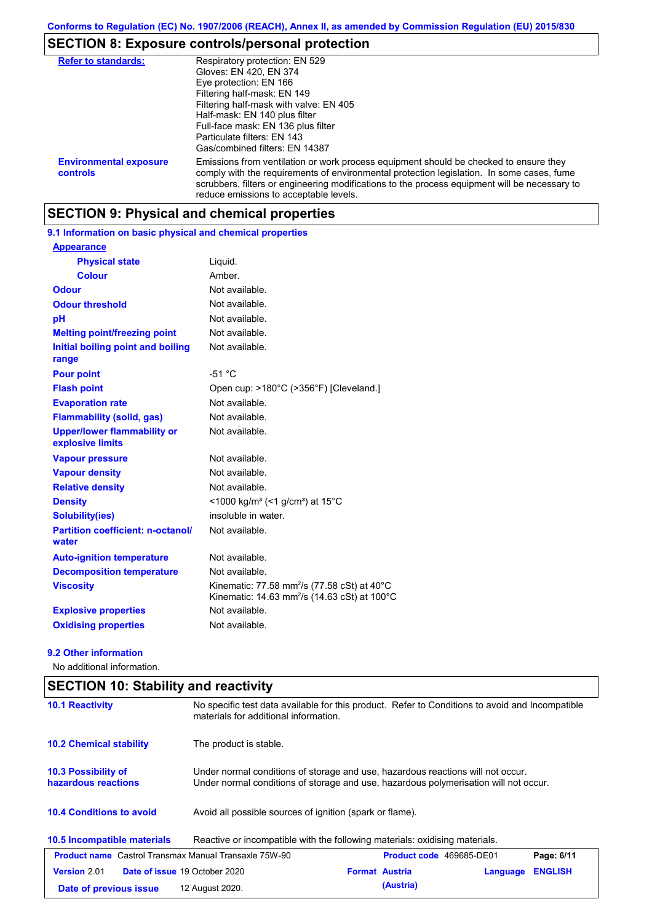# **SECTION 8: Exposure controls/personal protection**

| <b>Refer to standards:</b>                | Respiratory protection: EN 529<br>Gloves: EN 420, EN 374<br>Eye protection: EN 166<br>Filtering half-mask: EN 149<br>Filtering half-mask with valve: EN 405<br>Half-mask: EN 140 plus filter<br>Full-face mask: EN 136 plus filter<br>Particulate filters: EN 143<br>Gas/combined filters: EN 14387                           |
|-------------------------------------------|-------------------------------------------------------------------------------------------------------------------------------------------------------------------------------------------------------------------------------------------------------------------------------------------------------------------------------|
| <b>Environmental exposure</b><br>controls | Emissions from ventilation or work process equipment should be checked to ensure they<br>comply with the requirements of environmental protection legislation. In some cases, fume<br>scrubbers, filters or engineering modifications to the process equipment will be necessary to<br>reduce emissions to acceptable levels. |

### **SECTION 9: Physical and chemical properties**

### **9.1 Information on basic physical and chemical properties**

| <b>Appearance</b>                                      |                                                                                                                     |
|--------------------------------------------------------|---------------------------------------------------------------------------------------------------------------------|
| <b>Physical state</b>                                  | Liguid.                                                                                                             |
| <b>Colour</b>                                          | Amber.                                                                                                              |
| <b>Odour</b>                                           | Not available.                                                                                                      |
| <b>Odour threshold</b>                                 | Not available.                                                                                                      |
| рH                                                     | Not available.                                                                                                      |
| <b>Melting point/freezing point</b>                    | Not available.                                                                                                      |
| Initial boiling point and boiling<br>range             | Not available.                                                                                                      |
| <b>Pour point</b>                                      | $-51 °C$                                                                                                            |
| <b>Flash point</b>                                     | Open cup: >180°C (>356°F) [Cleveland.]                                                                              |
| <b>Evaporation rate</b>                                | Not available.                                                                                                      |
| <b>Flammability (solid, gas)</b>                       | Not available.                                                                                                      |
| <b>Upper/lower flammability or</b><br>explosive limits | Not available.                                                                                                      |
| <b>Vapour pressure</b>                                 | Not available.                                                                                                      |
| <b>Vapour density</b>                                  | Not available.                                                                                                      |
| <b>Relative density</b>                                | Not available.                                                                                                      |
| <b>Density</b>                                         | <1000 kg/m <sup>3</sup> (<1 g/cm <sup>3</sup> ) at 15 <sup>°</sup> C                                                |
| Solubility(ies)                                        | insoluble in water.                                                                                                 |
| <b>Partition coefficient: n-octanol/</b><br>water      | Not available.                                                                                                      |
| <b>Auto-ignition temperature</b>                       | Not available.                                                                                                      |
| <b>Decomposition temperature</b>                       | Not available.                                                                                                      |
| <b>Viscosity</b>                                       | Kinematic: 77.58 mm <sup>2</sup> /s (77.58 cSt) at 40°C<br>Kinematic: 14.63 mm <sup>2</sup> /s (14.63 cSt) at 100°C |
| <b>Explosive properties</b>                            | Not available.                                                                                                      |
| <b>Oxidising properties</b>                            | Not available.                                                                                                      |

#### **9.2 Other information**

No additional information.

| <b>SECTION 10: Stability and reactivity</b>                  |                                                                                                                                                                         |                                 |          |                |
|--------------------------------------------------------------|-------------------------------------------------------------------------------------------------------------------------------------------------------------------------|---------------------------------|----------|----------------|
| <b>10.1 Reactivity</b>                                       | No specific test data available for this product. Refer to Conditions to avoid and Incompatible<br>materials for additional information.                                |                                 |          |                |
| <b>10.2 Chemical stability</b>                               | The product is stable.                                                                                                                                                  |                                 |          |                |
| 10.3 Possibility of<br>hazardous reactions                   | Under normal conditions of storage and use, hazardous reactions will not occur.<br>Under normal conditions of storage and use, hazardous polymerisation will not occur. |                                 |          |                |
| <b>10.4 Conditions to avoid</b>                              | Avoid all possible sources of ignition (spark or flame).                                                                                                                |                                 |          |                |
| 10.5 Incompatible materials                                  | Reactive or incompatible with the following materials: oxidising materials.                                                                                             |                                 |          |                |
| <b>Product name</b> Castrol Transmax Manual Transaxle 75W-90 |                                                                                                                                                                         | <b>Product code</b> 469685-DE01 |          | Page: 6/11     |
| <b>Version 2.01</b>                                          | Date of issue 19 October 2020                                                                                                                                           | <b>Format Austria</b>           | Language | <b>ENGLISH</b> |
| Date of previous issue                                       | 12 August 2020.                                                                                                                                                         | (Austria)                       |          |                |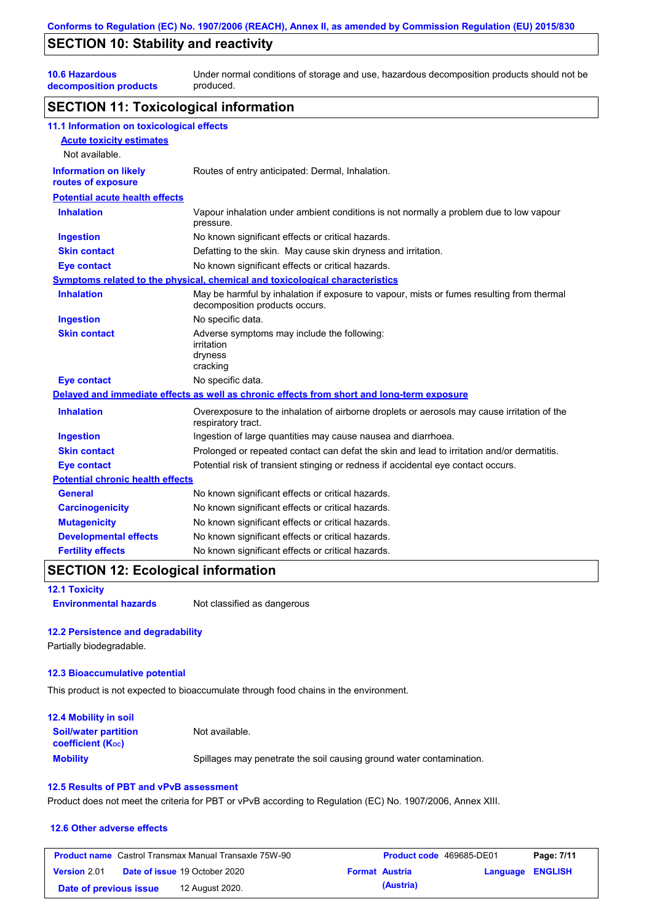### **SECTION 10: Stability and reactivity**

**10.6 Hazardous decomposition products** Under normal conditions of storage and use, hazardous decomposition products should not be produced.

### **SECTION 11: Toxicological information**

| 11.1 Information on toxicological effects          |                                                                                                                             |
|----------------------------------------------------|-----------------------------------------------------------------------------------------------------------------------------|
| <b>Acute toxicity estimates</b>                    |                                                                                                                             |
| Not available.                                     |                                                                                                                             |
| <b>Information on likely</b><br>routes of exposure | Routes of entry anticipated: Dermal, Inhalation.                                                                            |
| <b>Potential acute health effects</b>              |                                                                                                                             |
| <b>Inhalation</b>                                  | Vapour inhalation under ambient conditions is not normally a problem due to low vapour<br>pressure.                         |
| <b>Ingestion</b>                                   | No known significant effects or critical hazards.                                                                           |
| <b>Skin contact</b>                                | Defatting to the skin. May cause skin dryness and irritation.                                                               |
| <b>Eye contact</b>                                 | No known significant effects or critical hazards.                                                                           |
|                                                    | Symptoms related to the physical, chemical and toxicological characteristics                                                |
| <b>Inhalation</b>                                  | May be harmful by inhalation if exposure to vapour, mists or fumes resulting from thermal<br>decomposition products occurs. |
| <b>Ingestion</b>                                   | No specific data.                                                                                                           |
| <b>Skin contact</b>                                | Adverse symptoms may include the following:<br>irritation<br>dryness<br>cracking                                            |
| <b>Eye contact</b>                                 | No specific data.                                                                                                           |
|                                                    | Delayed and immediate effects as well as chronic effects from short and long-term exposure                                  |
| <b>Inhalation</b>                                  | Overexposure to the inhalation of airborne droplets or aerosols may cause irritation of the<br>respiratory tract.           |
| <b>Ingestion</b>                                   | Ingestion of large quantities may cause nausea and diarrhoea.                                                               |
| <b>Skin contact</b>                                | Prolonged or repeated contact can defat the skin and lead to irritation and/or dermatitis.                                  |
| <b>Eye contact</b>                                 | Potential risk of transient stinging or redness if accidental eye contact occurs.                                           |
| <b>Potential chronic health effects</b>            |                                                                                                                             |
| <b>General</b>                                     | No known significant effects or critical hazards.                                                                           |
| <b>Carcinogenicity</b>                             | No known significant effects or critical hazards.                                                                           |
| <b>Mutagenicity</b>                                | No known significant effects or critical hazards.                                                                           |
| <b>Developmental effects</b>                       | No known significant effects or critical hazards.                                                                           |
| <b>Fertility effects</b>                           | No known significant effects or critical hazards.                                                                           |

### **SECTION 12: Ecological information**

**12.1 Toxicity**

**Environmental hazards** Not classified as dangerous

### **12.2 Persistence and degradability**

Partially biodegradable.

#### **12.3 Bioaccumulative potential**

This product is not expected to bioaccumulate through food chains in the environment.

| <b>12.4 Mobility in soil</b>                                  |                                                                      |
|---------------------------------------------------------------|----------------------------------------------------------------------|
| <b>Soil/water partition</b><br>coefficient (K <sub>oc</sub> ) | Not available.                                                       |
| <b>Mobility</b>                                               | Spillages may penetrate the soil causing ground water contamination. |

#### **12.5 Results of PBT and vPvB assessment**

Product does not meet the criteria for PBT or vPvB according to Regulation (EC) No. 1907/2006, Annex XIII.

#### **12.6 Other adverse effects**

| <b>Product name</b> Castrol Transmax Manual Transaxle 75W-90 |  | Product code 469685-DE01             |                       | Page: 7/11 |                  |  |
|--------------------------------------------------------------|--|--------------------------------------|-----------------------|------------|------------------|--|
| <b>Version</b> 2.01                                          |  | <b>Date of issue 19 October 2020</b> | <b>Format Austria</b> |            | Language ENGLISH |  |
| Date of previous issue                                       |  | 12 August 2020.                      |                       | (Austria)  |                  |  |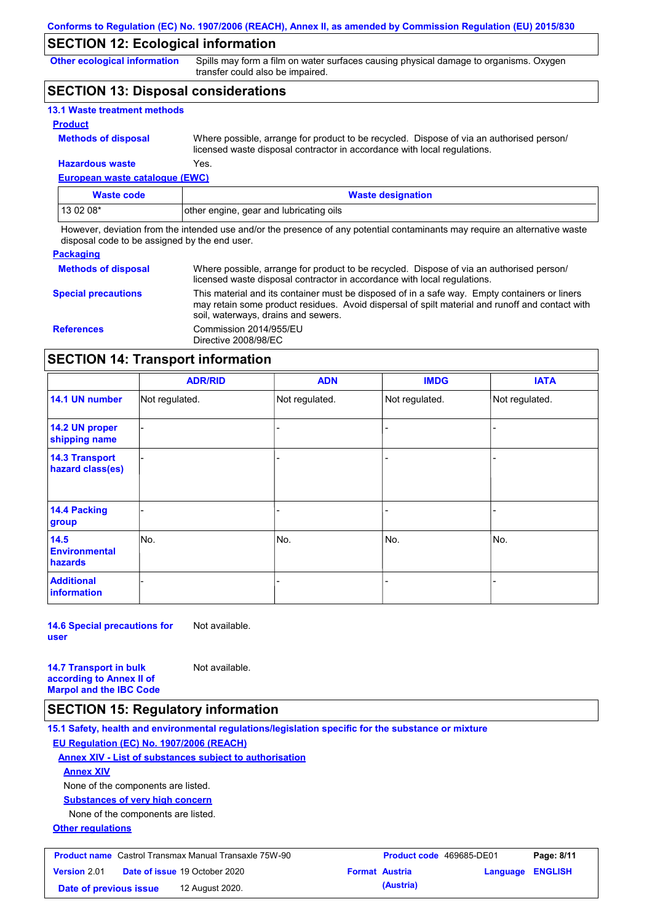### **SECTION 12: Ecological information**

**Other ecological information**

Spills may form a film on water surfaces causing physical damage to organisms. Oxygen transfer could also be impaired.

### **SECTION 13: Disposal considerations**

| <b>13.1 Waste treatment methods</b> |                                                                                                                                                                      |
|-------------------------------------|----------------------------------------------------------------------------------------------------------------------------------------------------------------------|
| <b>Product</b>                      |                                                                                                                                                                      |
| <b>Methods of disposal</b>          | Where possible, arrange for product to be recycled. Dispose of via an authorised person/<br>licensed waste disposal contractor in accordance with local regulations. |
| <b>Hazardous waste</b>              | Yes.                                                                                                                                                                 |

**European waste catalogue (EWC)**

| Waste code | <b>Waste designation</b>                |
|------------|-----------------------------------------|
| $130208*$  | other engine, gear and lubricating oils |

However, deviation from the intended use and/or the presence of any potential contaminants may require an alternative waste disposal code to be assigned by the end user.

#### **Packaging**

| <b>Methods of disposal</b> | Where possible, arrange for product to be recycled. Dispose of via an authorised person/<br>licensed waste disposal contractor in accordance with local regulations.                                                                    |
|----------------------------|-----------------------------------------------------------------------------------------------------------------------------------------------------------------------------------------------------------------------------------------|
| <b>Special precautions</b> | This material and its container must be disposed of in a safe way. Empty containers or liners<br>may retain some product residues. Avoid dispersal of spilt material and runoff and contact with<br>soil, waterways, drains and sewers. |
| <b>References</b>          | Commission 2014/955/EU<br>Directive 2008/98/EC                                                                                                                                                                                          |

### **SECTION 14: Transport information**

|                                                | <b>ADR/RID</b> | <b>ADN</b>     | <b>IMDG</b>    | <b>IATA</b>    |
|------------------------------------------------|----------------|----------------|----------------|----------------|
| 14.1 UN number                                 | Not regulated. | Not regulated. | Not regulated. | Not regulated. |
| 14.2 UN proper<br>shipping name                |                |                |                |                |
| <b>14.3 Transport</b><br>hazard class(es)      |                |                |                |                |
| <b>14.4 Packing</b><br>group                   |                |                |                |                |
| 14.5<br><b>Environmental</b><br><b>hazards</b> | No.            | No.            | No.            | No.            |
| <b>Additional</b><br>information               |                |                |                |                |

**14.6 Special precautions for user** Not available.

**14.7 Transport in bulk according to Annex II of Marpol and the IBC Code** Not available.

### **SECTION 15: Regulatory information**

**15.1 Safety, health and environmental regulations/legislation specific for the substance or mixture EU Regulation (EC) No. 1907/2006 (REACH)**

**Annex XIV - List of substances subject to authorisation Annex XIV**

None of the components are listed.

**Substances of very high concern**

None of the components are listed.

**Other regulations**

| <b>Product name</b> Castrol Transmax Manual Transaxle 75W-90 |  |                                      | <b>Product code</b> 469685-DE01 |           | Page: 8/11              |  |
|--------------------------------------------------------------|--|--------------------------------------|---------------------------------|-----------|-------------------------|--|
| <b>Version 2.01</b>                                          |  | <b>Date of issue 19 October 2020</b> | <b>Format Austria</b>           |           | <b>Language ENGLISH</b> |  |
| Date of previous issue                                       |  | 12 August 2020.                      |                                 | (Austria) |                         |  |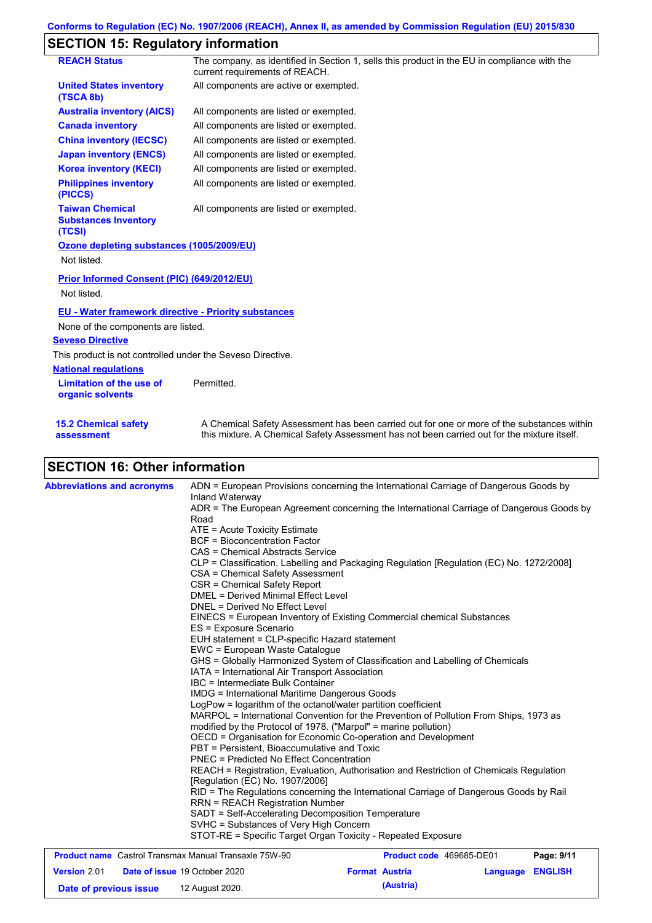# **SECTION 15: Regulatory information**

| <b>REACH Status</b>                                             | The company, as identified in Section 1, sells this product in the EU in compliance with the<br>current requirements of REACH.                                                            |
|-----------------------------------------------------------------|-------------------------------------------------------------------------------------------------------------------------------------------------------------------------------------------|
| <b>United States inventory</b><br>(TSCA 8b)                     | All components are active or exempted.                                                                                                                                                    |
| <b>Australia inventory (AICS)</b>                               | All components are listed or exempted.                                                                                                                                                    |
| <b>Canada inventory</b>                                         | All components are listed or exempted.                                                                                                                                                    |
| <b>China inventory (IECSC)</b>                                  | All components are listed or exempted.                                                                                                                                                    |
| <b>Japan inventory (ENCS)</b>                                   | All components are listed or exempted.                                                                                                                                                    |
| <b>Korea inventory (KECI)</b>                                   | All components are listed or exempted.                                                                                                                                                    |
| <b>Philippines inventory</b><br>(PICCS)                         | All components are listed or exempted.                                                                                                                                                    |
| <b>Taiwan Chemical</b><br><b>Substances Inventory</b><br>(TCSI) | All components are listed or exempted.                                                                                                                                                    |
| Ozone depleting substances (1005/2009/EU)                       |                                                                                                                                                                                           |
| Not listed.                                                     |                                                                                                                                                                                           |
| Prior Informed Consent (PIC) (649/2012/EU)                      |                                                                                                                                                                                           |
| Not listed.                                                     |                                                                                                                                                                                           |
| <b>EU - Water framework directive - Priority substances</b>     |                                                                                                                                                                                           |
| None of the components are listed.                              |                                                                                                                                                                                           |
| <b>Seveso Directive</b>                                         |                                                                                                                                                                                           |
| This product is not controlled under the Seveso Directive.      |                                                                                                                                                                                           |
| <b>National requlations</b>                                     |                                                                                                                                                                                           |
| Limitation of the use of<br>organic solvents                    | Permitted.                                                                                                                                                                                |
| <b>15.2 Chemical safety</b><br>assessment                       | A Chemical Safety Assessment has been carried out for one or more of the substances within<br>this mixture. A Chemical Safety Assessment has not been carried out for the mixture itself. |
|                                                                 |                                                                                                                                                                                           |

# **SECTION 16: Other information**

| <b>Abbreviations and acronyms</b>                     | Inland Waterway                                                                                                                                                                                                                                                                                  | ADN = European Provisions concerning the International Carriage of Dangerous Goods by    |          |                |  |  |
|-------------------------------------------------------|--------------------------------------------------------------------------------------------------------------------------------------------------------------------------------------------------------------------------------------------------------------------------------------------------|------------------------------------------------------------------------------------------|----------|----------------|--|--|
|                                                       | Road                                                                                                                                                                                                                                                                                             | ADR = The European Agreement concerning the International Carriage of Dangerous Goods by |          |                |  |  |
|                                                       | ATE = Acute Toxicity Estimate<br><b>BCF</b> = Bioconcentration Factor<br>CAS = Chemical Abstracts Service                                                                                                                                                                                        |                                                                                          |          |                |  |  |
|                                                       |                                                                                                                                                                                                                                                                                                  |                                                                                          |          |                |  |  |
|                                                       |                                                                                                                                                                                                                                                                                                  |                                                                                          |          |                |  |  |
|                                                       | CLP = Classification, Labelling and Packaging Regulation [Regulation (EC) No. 1272/2008]<br>CSA = Chemical Safety Assessment<br>CSR = Chemical Safety Report<br><b>DMEL = Derived Minimal Effect Level</b>                                                                                       |                                                                                          |          |                |  |  |
|                                                       |                                                                                                                                                                                                                                                                                                  |                                                                                          |          |                |  |  |
|                                                       |                                                                                                                                                                                                                                                                                                  |                                                                                          |          |                |  |  |
|                                                       |                                                                                                                                                                                                                                                                                                  |                                                                                          |          |                |  |  |
|                                                       | DNEL = Derived No Effect Level                                                                                                                                                                                                                                                                   |                                                                                          |          |                |  |  |
|                                                       | EINECS = European Inventory of Existing Commercial chemical Substances                                                                                                                                                                                                                           |                                                                                          |          |                |  |  |
|                                                       | ES = Exposure Scenario                                                                                                                                                                                                                                                                           |                                                                                          |          |                |  |  |
|                                                       | EUH statement = CLP-specific Hazard statement                                                                                                                                                                                                                                                    |                                                                                          |          |                |  |  |
|                                                       | EWC = European Waste Catalogue                                                                                                                                                                                                                                                                   |                                                                                          |          |                |  |  |
|                                                       | GHS = Globally Harmonized System of Classification and Labelling of Chemicals                                                                                                                                                                                                                    |                                                                                          |          |                |  |  |
|                                                       | IATA = International Air Transport Association<br>IBC = Intermediate Bulk Container<br><b>IMDG = International Maritime Dangerous Goods</b>                                                                                                                                                      |                                                                                          |          |                |  |  |
|                                                       |                                                                                                                                                                                                                                                                                                  |                                                                                          |          |                |  |  |
|                                                       |                                                                                                                                                                                                                                                                                                  |                                                                                          |          |                |  |  |
|                                                       | LogPow = logarithm of the octanol/water partition coefficient<br>MARPOL = International Convention for the Prevention of Pollution From Ships, 1973 as                                                                                                                                           |                                                                                          |          |                |  |  |
|                                                       |                                                                                                                                                                                                                                                                                                  |                                                                                          |          |                |  |  |
|                                                       | modified by the Protocol of 1978. ("Marpol" = marine pollution)<br>OECD = Organisation for Economic Co-operation and Development<br>PBT = Persistent, Bioaccumulative and Toxic                                                                                                                  |                                                                                          |          |                |  |  |
|                                                       |                                                                                                                                                                                                                                                                                                  |                                                                                          |          |                |  |  |
|                                                       |                                                                                                                                                                                                                                                                                                  |                                                                                          |          |                |  |  |
|                                                       | <b>PNEC = Predicted No Effect Concentration</b>                                                                                                                                                                                                                                                  |                                                                                          |          |                |  |  |
|                                                       | REACH = Registration, Evaluation, Authorisation and Restriction of Chemicals Regulation                                                                                                                                                                                                          |                                                                                          |          |                |  |  |
|                                                       | [Regulation (EC) No. 1907/2006]                                                                                                                                                                                                                                                                  |                                                                                          |          |                |  |  |
|                                                       | RID = The Regulations concerning the International Carriage of Dangerous Goods by Rail<br><b>RRN = REACH Registration Number</b><br>SADT = Self-Accelerating Decomposition Temperature<br>SVHC = Substances of Very High Concern<br>STOT-RE = Specific Target Organ Toxicity - Repeated Exposure |                                                                                          |          |                |  |  |
|                                                       |                                                                                                                                                                                                                                                                                                  |                                                                                          |          |                |  |  |
|                                                       |                                                                                                                                                                                                                                                                                                  |                                                                                          |          |                |  |  |
|                                                       |                                                                                                                                                                                                                                                                                                  |                                                                                          |          |                |  |  |
|                                                       |                                                                                                                                                                                                                                                                                                  |                                                                                          |          |                |  |  |
| Product name Castrol Transmax Manual Transaxle 75W-90 |                                                                                                                                                                                                                                                                                                  | Product code 469685-DE01                                                                 |          | Page: 9/11     |  |  |
| Version 2.01                                          | Date of issue 19 October 2020                                                                                                                                                                                                                                                                    | <b>Format Austria</b>                                                                    | Language | <b>ENGLISH</b> |  |  |
|                                                       |                                                                                                                                                                                                                                                                                                  |                                                                                          |          |                |  |  |

**Date of previous issue (Austria)** 12 August 2020.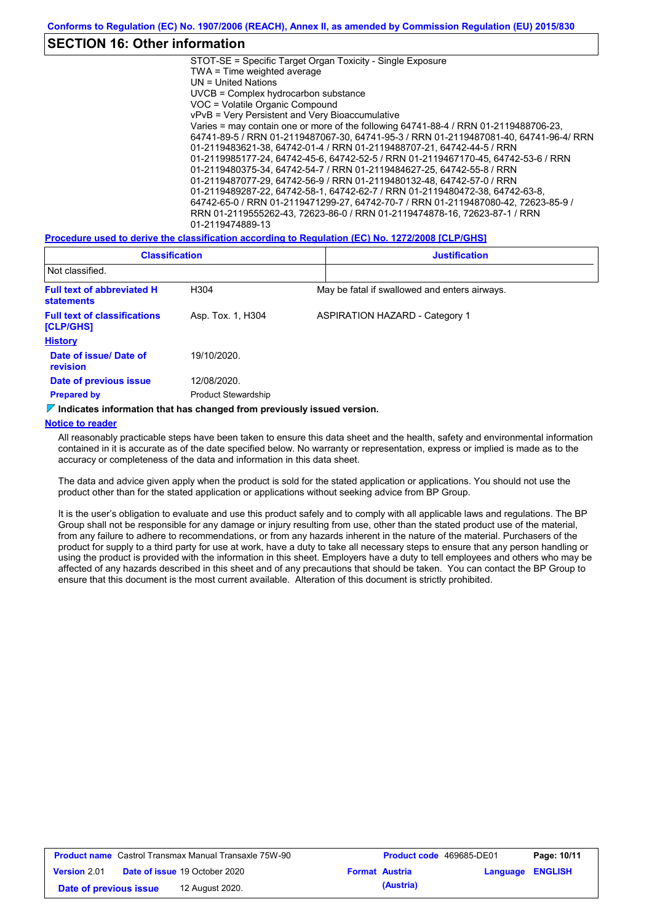### **SECTION 16: Other information**

STOT-SE = Specific Target Organ Toxicity - Single Exposure TWA = Time weighted average UN = United Nations UVCB = Complex hydrocarbon substance VOC = Volatile Organic Compound vPvB = Very Persistent and Very Bioaccumulative Varies = may contain one or more of the following 64741-88-4 / RRN 01-2119488706-23, 64741-89-5 / RRN 01-2119487067-30, 64741-95-3 / RRN 01-2119487081-40, 64741-96-4/ RRN 01-2119483621-38, 64742-01-4 / RRN 01-2119488707-21, 64742-44-5 / RRN 01-2119985177-24, 64742-45-6, 64742-52-5 / RRN 01-2119467170-45, 64742-53-6 / RRN 01-2119480375-34, 64742-54-7 / RRN 01-2119484627-25, 64742-55-8 / RRN 01-2119487077-29, 64742-56-9 / RRN 01-2119480132-48, 64742-57-0 / RRN 01-2119489287-22, 64742-58-1, 64742-62-7 / RRN 01-2119480472-38, 64742-63-8, 64742-65-0 / RRN 01-2119471299-27, 64742-70-7 / RRN 01-2119487080-42, 72623-85-9 / RRN 01-2119555262-43, 72623-86-0 / RRN 01-2119474878-16, 72623-87-1 / RRN 01-2119474889-13

**Procedure used to derive the classification according to Regulation (EC) No. 1272/2008 [CLP/GHS]**

| <b>Classification</b>                                  |                            | <b>Justification</b>                          |  |  |  |
|--------------------------------------------------------|----------------------------|-----------------------------------------------|--|--|--|
| Not classified.                                        |                            |                                               |  |  |  |
| <b>Full text of abbreviated H</b><br><b>statements</b> | H <sub>304</sub>           | May be fatal if swallowed and enters airways. |  |  |  |
| <b>Full text of classifications</b><br>[CLP/GHS]       | Asp. Tox. 1, H304          | <b>ASPIRATION HAZARD - Category 1</b>         |  |  |  |
| <b>History</b>                                         |                            |                                               |  |  |  |
| Date of issue/Date of<br><b>revision</b>               | 19/10/2020.                |                                               |  |  |  |
| Date of previous issue                                 | 12/08/2020.                |                                               |  |  |  |
| <b>Prepared by</b>                                     | <b>Product Stewardship</b> |                                               |  |  |  |

#### **Indicates information that has changed from previously issued version.**

#### **Notice to reader**

All reasonably practicable steps have been taken to ensure this data sheet and the health, safety and environmental information contained in it is accurate as of the date specified below. No warranty or representation, express or implied is made as to the accuracy or completeness of the data and information in this data sheet.

The data and advice given apply when the product is sold for the stated application or applications. You should not use the product other than for the stated application or applications without seeking advice from BP Group.

It is the user's obligation to evaluate and use this product safely and to comply with all applicable laws and regulations. The BP Group shall not be responsible for any damage or injury resulting from use, other than the stated product use of the material, from any failure to adhere to recommendations, or from any hazards inherent in the nature of the material. Purchasers of the product for supply to a third party for use at work, have a duty to take all necessary steps to ensure that any person handling or using the product is provided with the information in this sheet. Employers have a duty to tell employees and others who may be affected of any hazards described in this sheet and of any precautions that should be taken. You can contact the BP Group to ensure that this document is the most current available. Alteration of this document is strictly prohibited.

| <b>Product name</b> Castrol Transmax Manual Transaxle 75W-90 |  |                                      | <b>Product code</b> 469685-DE01 |                       | Page: 10/11             |  |
|--------------------------------------------------------------|--|--------------------------------------|---------------------------------|-----------------------|-------------------------|--|
| <b>Version 2.01</b>                                          |  | <b>Date of issue 19 October 2020</b> |                                 | <b>Format Austria</b> | <b>Language ENGLISH</b> |  |
| Date of previous issue                                       |  | 12 August 2020.                      |                                 | (Austria)             |                         |  |